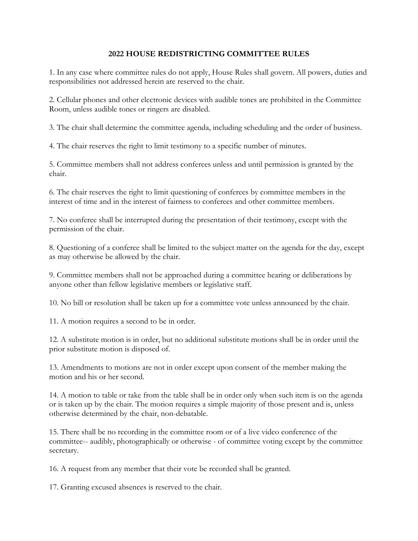## **2022 HOUSE REDISTRICTING COMMITTEE RULES**

1. In any case where committee rules do not apply, House Rules shall govern. All powers, duties and responsibilities not addressed herein are reserved to the chair.

2. Cellular phones and other electronic devices with audible tones are prohibited in the Committee Room, unless audible tones or ringers are disabled.

3. The chair shall determine the committee agenda, including scheduling and the order of business.

4. The chair reserves the right to limit testimony to a specific number of minutes.

5. Committee members shall not address conferees unless and until permission is granted by the chair.

6. The chair reserves the right to limit questioning of conferees by committee members in the interest of time and in the interest of fairness to conferees and other committee members.

7. No conferee shall be interrupted during the presentation of their testimony, except with the permission of the chair.

8. Questioning of a conferee shall be limited to the subject matter on the agenda for the day, except as may otherwise be allowed by the chair.

9. Committee members shall not be approached during a committee hearing or deliberations by anyone other than fellow legislative members or legislative staff.

10. No bill or resolution shall be taken up for a committee vote unless announced by the chair.

11. A motion requires a second to be in order.

12. A substitute motion is in order, but no additional substitute motions shall be in order until the prior substitute motion is disposed of.

13. Amendments to motions are not in order except upon consent of the member making the motion and his or her second.

14. A motion to table or take from the table shall be in order only when such item is on the agenda or is taken up by the chair. The motion requires a simple majority of those present and is, unless otherwise determined by the chair, non-debatable.

15. There shall be no recording in the committee room or of a live video conference of the committee-- audibly, photographically or otherwise - of committee voting except by the committee secretary.

16. A request from any member that their vote be recorded shall be granted.

17. Granting excused absences is reserved to the chair.